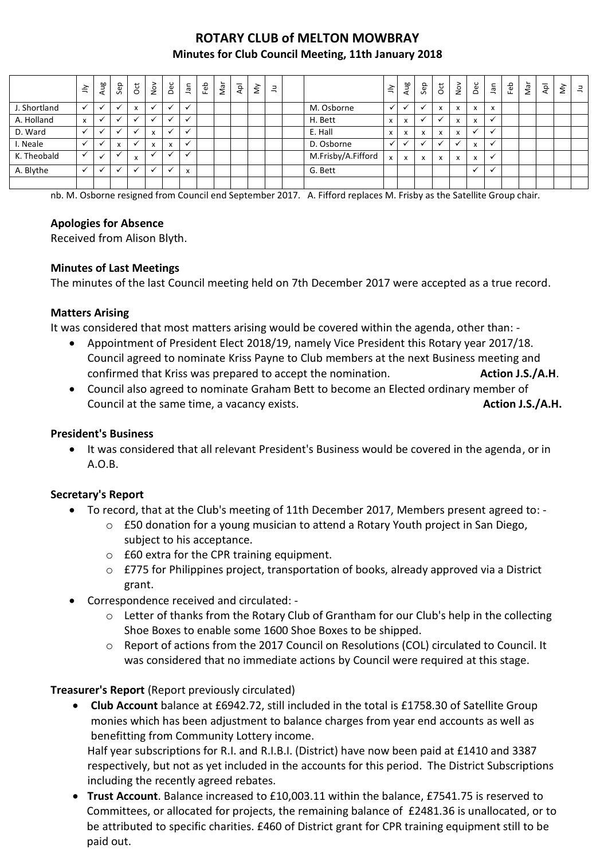# **ROTARY CLUB of MELTON MOWBRAY Minutes for Club Council Meeting, 11th January 2018**

|              | $\leq$                   | Aug         | Sep                      | $\overline{5}$ | $\sum_{i=1}^{n}$ | Dec          | lan                       | Feb | Nar | Apl | $\grave{\varepsilon}$ | Ξ |                    | $\preceq$    | Aug          | Sep          | $\overline{c}$ | $\sum_{i=1}^{\infty}$ | Dec          | <b>Jan</b>  | Feb | Nar | $\bar{A}$ | $\lessgtr$ | $\equiv$ |
|--------------|--------------------------|-------------|--------------------------|----------------|------------------|--------------|---------------------------|-----|-----|-----|-----------------------|---|--------------------|--------------|--------------|--------------|----------------|-----------------------|--------------|-------------|-----|-----|-----------|------------|----------|
| J. Shortland | $\checkmark$             | $\check{ }$ | $\overline{ }$           | X              |                  | $\checkmark$ | $\checkmark$              |     |     |     |                       |   | M. Osborne         | √            |              |              | x              | X                     | X            | x           |     |     |           |            |          |
| A. Holland   | x                        |             | $\overline{\phantom{a}}$ |                |                  | $\checkmark$ | $\checkmark$              |     |     |     |                       |   | H. Bett            | x            | X            |              |                | x                     | x            |             |     |     |           |            |          |
| D. Ward      |                          |             |                          | $\checkmark$   | $\mathbf{v}$     | $\checkmark$ |                           |     |     |     |                       |   | E. Hall            | X            | X            | X            | x              | X                     | $\checkmark$ | $\check{ }$ |     |     |           |            |          |
| I. Neale     | $\checkmark$             |             | X                        |                | X                | $\mathsf{x}$ | ✓                         |     |     |     |                       |   | D. Osborne         | $\checkmark$ |              |              |                |                       | $\mathsf{x}$ |             |     |     |           |            |          |
| K. Theobald  | ✓                        |             |                          | x              |                  |              |                           |     |     |     |                       |   | M.Frisby/A.Fifford | $\mathsf{x}$ | $\mathsf{x}$ | $\mathsf{x}$ | $\mathsf{x}$   | X                     | $\mathsf{x}$ | ✔           |     |     |           |            |          |
| A. Blythe    | $\overline{\phantom{a}}$ |             | $\overline{ }$           |                |                  | $\checkmark$ | $\mathbf{v}$<br>$\lambda$ |     |     |     |                       |   | G. Bett            |              |              |              |                |                       | $\checkmark$ |             |     |     |           |            |          |
|              |                          |             |                          |                |                  |              |                           |     |     |     |                       |   |                    |              |              |              |                |                       |              |             |     |     |           |            |          |

nb. M. Osborne resigned from Council end September 2017. A. Fifford replaces M. Frisby as the Satellite Group chair.

### **Apologies for Absence**

Received from Alison Blyth.

### **Minutes of Last Meetings**

The minutes of the last Council meeting held on 7th December 2017 were accepted as a true record.

#### **Matters Arising**

It was considered that most matters arising would be covered within the agenda, other than: -

- Appointment of President Elect 2018/19, namely Vice President this Rotary year 2017/18. Council agreed to nominate Kriss Payne to Club members at the next Business meeting and confirmed that Kriss was prepared to accept the nomination. **Action J.S./A.H**.
- Council also agreed to nominate Graham Bett to become an Elected ordinary member of Council at the same time, a vacancy exists. **Action J.S./A.H. Action J.S./A.H.**

#### **President's Business**

 It was considered that all relevant President's Business would be covered in the agenda, or in A.O.B.

### **Secretary's Report**

- To record, that at the Club's meeting of 11th December 2017, Members present agreed to:
	- o £50 donation for a young musician to attend a Rotary Youth project in San Diego, subject to his acceptance.
	- $\circ$  £60 extra for the CPR training equipment.
	- o £775 for Philippines project, transportation of books, already approved via a District grant.
- Correspondence received and circulated:
	- o Letter of thanks from the Rotary Club of Grantham for our Club's help in the collecting Shoe Boxes to enable some 1600 Shoe Boxes to be shipped.
	- o Report of actions from the 2017 Council on Resolutions (COL) circulated to Council. It was considered that no immediate actions by Council were required at this stage.

### **Treasurer's Report** (Report previously circulated)

 **Club Account** balance at £6942.72, still included in the total is £1758.30 of Satellite Group monies which has been adjustment to balance charges from year end accounts as well as benefitting from Community Lottery income.

Half year subscriptions for R.I. and R.I.B.I. (District) have now been paid at £1410 and 3387 respectively, but not as yet included in the accounts for this period. The District Subscriptions including the recently agreed rebates.

 **Trust Account**. Balance increased to £10,003.11 within the balance, £7541.75 is reserved to Committees, or allocated for projects, the remaining balance of £2481.36 is unallocated, or to be attributed to specific charities. £460 of District grant for CPR training equipment still to be paid out.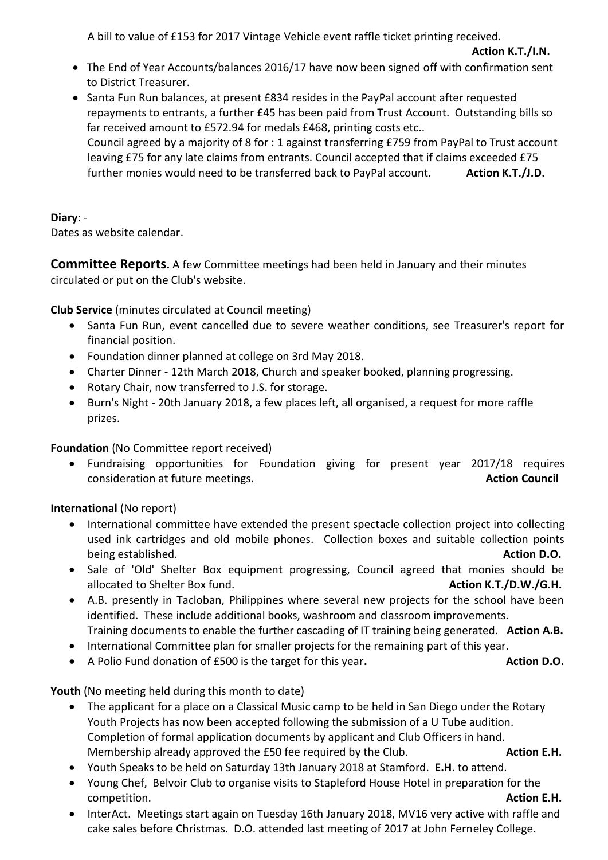A bill to value of £153 for 2017 Vintage Vehicle event raffle ticket printing received.

- The End of Year Accounts/balances 2016/17 have now been signed off with confirmation sent to District Treasurer.
- Santa Fun Run balances, at present £834 resides in the PayPal account after requested repayments to entrants, a further £45 has been paid from Trust Account. Outstanding bills so far received amount to £572.94 for medals £468, printing costs etc.. Council agreed by a majority of 8 for : 1 against transferring £759 from PayPal to Trust account leaving £75 for any late claims from entrants. Council accepted that if claims exceeded £75 further monies would need to be transferred back to PayPal account. **Action K.T./J.D.**

## **Diary**: -

Dates as website calendar.

**Committee Reports.** A few Committee meetings had been held in January and their minutes circulated or put on the Club's website.

**Club Service** (minutes circulated at Council meeting)

- Santa Fun Run, event cancelled due to severe weather conditions, see Treasurer's report for financial position.
- Foundation dinner planned at college on 3rd May 2018.
- Charter Dinner 12th March 2018, Church and speaker booked, planning progressing.
- Rotary Chair, now transferred to J.S. for storage.
- Burn's Night 20th January 2018, a few places left, all organised, a request for more raffle prizes.

**Foundation** (No Committee report received)

 Fundraising opportunities for Foundation giving for present year 2017/18 requires consideration at future meetings. **Action Council** and the setting of the setting of the setting of the settings of the settings of the settings of the settings of the settings of the settings of the settings of the settin

# **International** (No report)

- International committee have extended the present spectacle collection project into collecting used ink cartridges and old mobile phones. Collection boxes and suitable collection points being established. **Action D.O.**
- Sale of 'Old' Shelter Box equipment progressing, Council agreed that monies should be allocated to Shelter Box fund. **Action K.T./D.W./G.H.**
- A.B. presently in Tacloban, Philippines where several new projects for the school have been identified. These include additional books, washroom and classroom improvements. Training documents to enable the further cascading of IT training being generated. **Action A.B.**
- International Committee plan for smaller projects for the remaining part of this year.
- A Polio Fund donation of £500 is the target for this year. **Action D.O.** Action D.O.

**Youth** (No meeting held during this month to date)

- The applicant for a place on a Classical Music camp to be held in San Diego under the Rotary Youth Projects has now been accepted following the submission of a U Tube audition. Completion of formal application documents by applicant and Club Officers in hand. Membership already approved the £50 fee required by the Club. **Action E.H.** Action E.H.
- Youth Speaks to be held on Saturday 13th January 2018 at Stamford. **E.H**. to attend.
- Young Chef, Belvoir Club to organise visits to Stapleford House Hotel in preparation for the competition. **Action E.H.**
- InterAct. Meetings start again on Tuesday 16th January 2018, MV16 very active with raffle and cake sales before Christmas. D.O. attended last meeting of 2017 at John Ferneley College.